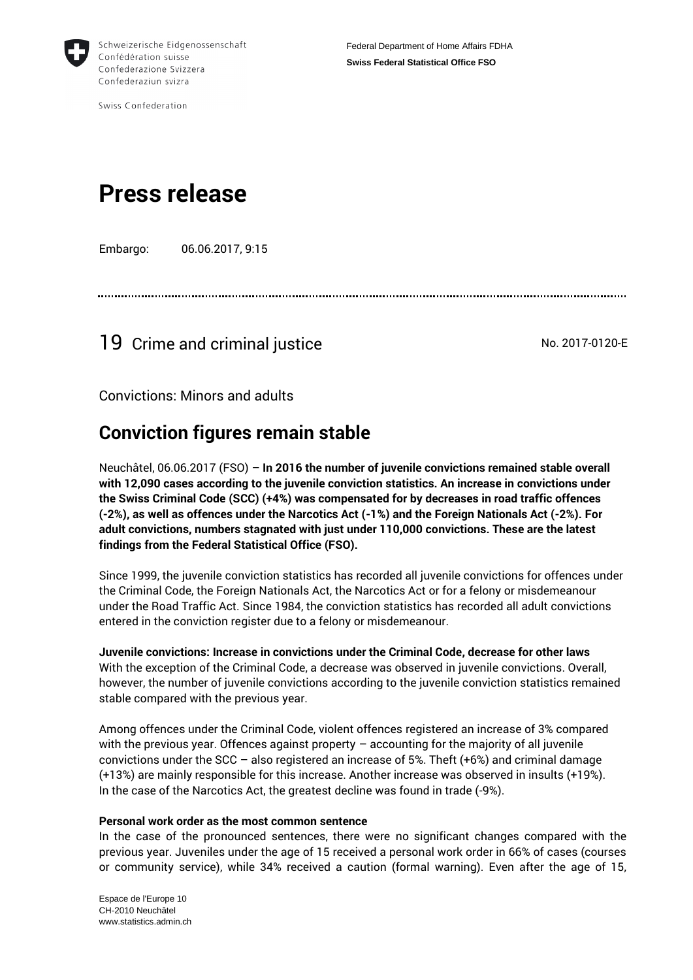

Federal Department of Home Affairs FDHA **Swiss Federal Statistical Office FSO**

Swiss Confederation

# **Press release**

Embargo: 06.06.2017, 9:15

19 Crime and criminal justice No. 2017-0120-E

Convictions: Minors and adults

# **Conviction figures remain stable**

Neuchâtel, 06.06.2017 (FSO) – **In 2016 the number of juvenile convictions remained stable overall with 12,090 cases according to the juvenile conviction statistics. An increase in convictions under the Swiss Criminal Code (SCC) (+4%) was compensated for by decreases in road traffic offences (-2%), as well as offences under the Narcotics Act (-1%) and the Foreign Nationals Act (-2%). For adult convictions, numbers stagnated with just under 110,000 convictions. These are the latest findings from the Federal Statistical Office (FSO).**

Since 1999, the juvenile conviction statistics has recorded all juvenile convictions for offences under the Criminal Code, the Foreign Nationals Act, the Narcotics Act or for a felony or misdemeanour under the Road Traffic Act. Since 1984, the conviction statistics has recorded all adult convictions entered in the conviction register due to a felony or misdemeanour.

**Juvenile convictions: Increase in convictions under the Criminal Code, decrease for other laws** With the exception of the Criminal Code, a decrease was observed in juvenile convictions. Overall, however, the number of juvenile convictions according to the juvenile conviction statistics remained stable compared with the previous year.

Among offences under the Criminal Code, violent offences registered an increase of 3% compared with the previous year. Offences against property – accounting for the majority of all juvenile convictions under the SCC – also registered an increase of 5%. Theft  $(+6%)$  and criminal damage (+13%) are mainly responsible for this increase. Another increase was observed in insults (+19%). In the case of the Narcotics Act, the greatest decline was found in trade (-9%).

## **Personal work order as the most common sentence**

In the case of the pronounced sentences, there were no significant changes compared with the previous year. Juveniles under the age of 15 received a personal work order in 66% of cases (courses or community service), while 34% received a caution (formal warning). Even after the age of 15,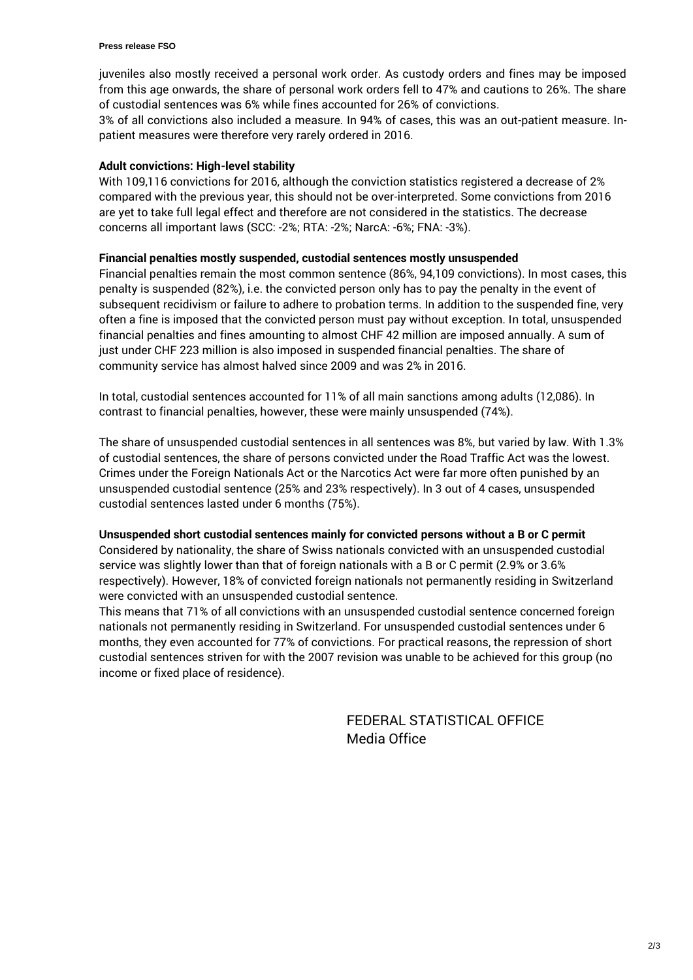#### **Press release FSO**

juveniles also mostly received a personal work order. As custody orders and fines may be imposed from this age onwards, the share of personal work orders fell to 47% and cautions to 26%. The share of custodial sentences was 6% while fines accounted for 26% of convictions.

3% of all convictions also included a measure. In 94% of cases, this was an out-patient measure. Inpatient measures were therefore very rarely ordered in 2016.

### **Adult convictions: High-level stability**

With 109,116 convictions for 2016, although the conviction statistics registered a decrease of 2% compared with the previous year, this should not be over-interpreted. Some convictions from 2016 are yet to take full legal effect and therefore are not considered in the statistics. The decrease concerns all important laws (SCC: -2%; RTA: -2%; NarcA: -6%; FNA: -3%).

### **Financial penalties mostly suspended, custodial sentences mostly unsuspended**

Financial penalties remain the most common sentence (86%, 94,109 convictions). In most cases, this penalty is suspended (82%), i.e. the convicted person only has to pay the penalty in the event of subsequent recidivism or failure to adhere to probation terms. In addition to the suspended fine, very often a fine is imposed that the convicted person must pay without exception. In total, unsuspended financial penalties and fines amounting to almost CHF 42 million are imposed annually. A sum of just under CHF 223 million is also imposed in suspended financial penalties. The share of community service has almost halved since 2009 and was 2% in 2016.

In total, custodial sentences accounted for 11% of all main sanctions among adults (12,086). In contrast to financial penalties, however, these were mainly unsuspended (74%).

The share of unsuspended custodial sentences in all sentences was 8%, but varied by law. With 1.3% of custodial sentences, the share of persons convicted under the Road Traffic Act was the lowest. Crimes under the Foreign Nationals Act or the Narcotics Act were far more often punished by an unsuspended custodial sentence (25% and 23% respectively). In 3 out of 4 cases, unsuspended custodial sentences lasted under 6 months (75%).

#### **Unsuspended short custodial sentences mainly for convicted persons without a B or C permit**

Considered by nationality, the share of Swiss nationals convicted with an unsuspended custodial service was slightly lower than that of foreign nationals with a B or C permit (2.9% or 3.6% respectively). However, 18% of convicted foreign nationals not permanently residing in Switzerland were convicted with an unsuspended custodial sentence.

This means that 71% of all convictions with an unsuspended custodial sentence concerned foreign nationals not permanently residing in Switzerland. For unsuspended custodial sentences under 6 months, they even accounted for 77% of convictions. For practical reasons, the repression of short custodial sentences striven for with the 2007 revision was unable to be achieved for this group (no income or fixed place of residence).

> FEDERAL STATISTICAL OFFICE Media Office